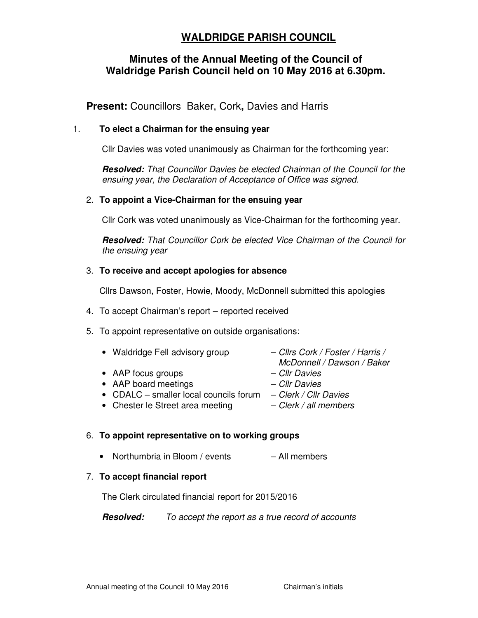# **WALDRIDGE PARISH COUNCIL**

## **Minutes of the Annual Meeting of the Council of Waldridge Parish Council held on 10 May 2016 at 6.30pm.**

**Present:** Councillors Baker, Cork**,** Davies and Harris

## 1. **To elect a Chairman for the ensuing year**

Cllr Davies was voted unanimously as Chairman for the forthcoming year:

**Resolved:** That Councillor Davies be elected Chairman of the Council for the ensuing year, the Declaration of Acceptance of Office was signed.

### 2. **To appoint a Vice-Chairman for the ensuing year**

Cllr Cork was voted unanimously as Vice-Chairman for the forthcoming year.

**Resolved:** That Councillor Cork be elected Vice Chairman of the Council for the ensuing year

#### 3. **To receive and accept apologies for absence**

Cllrs Dawson, Foster, Howie, Moody, McDonnell submitted this apologies

- 4. To accept Chairman's report reported received
- 5. To appoint representative on outside organisations:

| • Waldridge Fell advisory group | - Cllrs Cork / Foster / Harris /<br>McDonnell / Dawson / Baker |
|---------------------------------|----------------------------------------------------------------|
| • AAP focus groups              | - Cllr Davies                                                  |
| • AAP board meetings            | - Cllr Davies                                                  |

- CDALC smaller local councils forum  $-$  Clerk / Cllr Davies
- Chester le Street area meeting  $-$  Clerk / all members

#### 6. **To appoint representative on to working groups**

• Northumbria in Bloom / events – All members

#### 7. **To accept financial report**

The Clerk circulated financial report for 2015/2016

**Resolved:** To accept the report as a true record of accounts